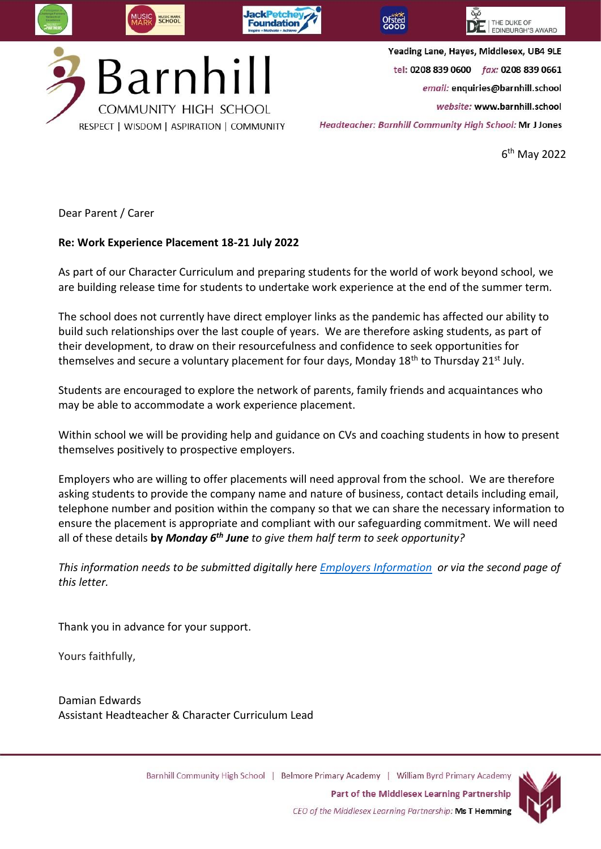

6 th May 2022

Dear Parent / Carer

## **Re: Work Experience Placement 18-21 July 2022**

As part of our Character Curriculum and preparing students for the world of work beyond school, we are building release time for students to undertake work experience at the end of the summer term.

The school does not currently have direct employer links as the pandemic has affected our ability to build such relationships over the last couple of years. We are therefore asking students, as part of their development, to draw on their resourcefulness and confidence to seek opportunities for themselves and secure a voluntary placement for four days, Monday 18<sup>th</sup> to Thursday 21<sup>st</sup> July.

Students are encouraged to explore the network of parents, family friends and acquaintances who may be able to accommodate a work experience placement.

Within school we will be providing help and guidance on CVs and coaching students in how to present themselves positively to prospective employers.

Employers who are willing to offer placements will need approval from the school. We are therefore asking students to provide the company name and nature of business, contact details including email, telephone number and position within the company so that we can share the necessary information to ensure the placement is appropriate and compliant with our safeguarding commitment. We will need all of these details **by** *Monday 6th June to give them half term to seek opportunity?*

*This information needs to be submitted digitally here [Employers Information](https://forms.office.com/r/bQ2ZVaTGP5) or via the second page of this letter.* 

Thank you in advance for your support.

Yours faithfully,

Damian Edwards Assistant Headteacher & Character Curriculum Lead